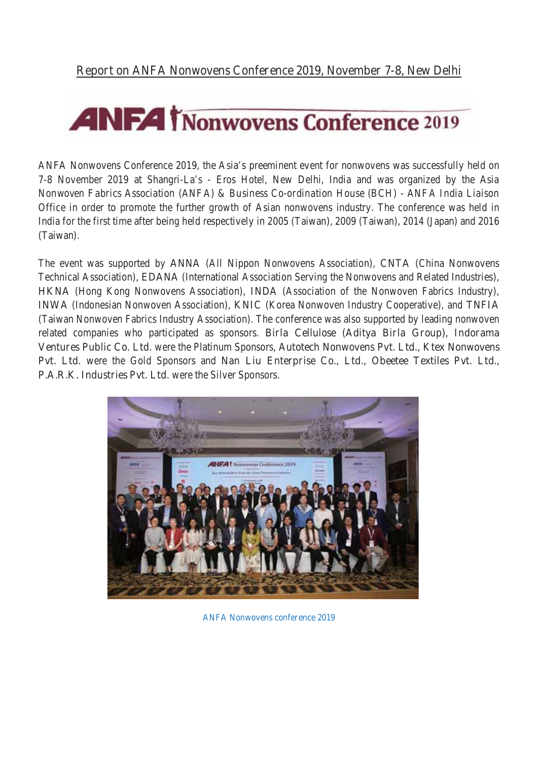# **ANFA** *T***Nonwovens Conference 2019**

ANFA Nonwovens Conference 2019, the Asia's preeminent event for nonwovens was successfully held on 7-8 November 2019 at Shangri-La's - Eros Hotel, New Delhi, India and was organized by the *Asia Nonwoven Fabrics Association (ANFA) & Business Co-ordination House (BCH)* - *ANFA India Liaison Office* in order to promote the further growth of Asian nonwovens industry. The conference was held in India for the first time after being held respectively in 2005 (Taiwan), 2009 (Taiwan), 2014 (Japan) and 2016 (Taiwan).

The event was supported by ANNA (All Nippon Nonwovens Association), CNTA (China Nonwovens Technical Association), EDANA (International Association Serving the Nonwovens and Related Industries), HKNA (Hong Kong Nonwovens Association), INDA (Association of the Nonwoven Fabrics Industry), INWA (Indonesian Nonwoven Association), KNIC (Korea Nonwoven Industry Cooperative), and TNFIA (Taiwan Nonwoven Fabrics Industry Association). The conference was also supported by leading nonwoven related companies who participated as sponsors. Birla Cellulose (Aditya Birla Group), Indorama Ventures Public Co. Ltd. were the Platinum Sponsors, Autotech Nonwovens Pvt. Ltd., Ktex Nonwovens Pvt. Ltd. were the Gold Sponsors and Nan Liu Enterprise Co., Ltd., Obeetee Textiles Pvt. Ltd., P.A.R.K. Industries Pvt. Ltd. were the Silver Sponsors.



ANFA Nonwovens conference 2019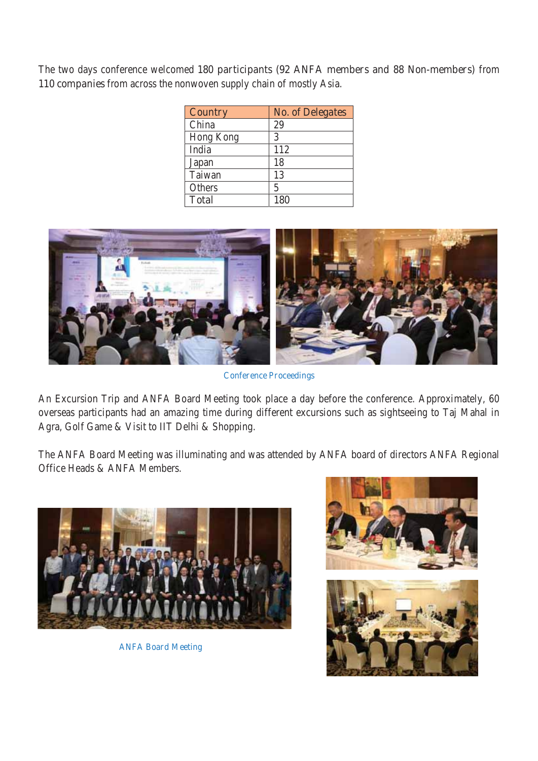The two days conference welcomed 180 participants (92 ANFA members and 88 Non-members) from 110 companies from across the nonwoven supply chain of mostly Asia.

| <b>Country</b> | <b>No. of Delegates</b> |
|----------------|-------------------------|
| China          | 29                      |
| Hong Kong      | 3                       |
| India          | 112                     |
| Japan          | 18                      |
| Taiwan         | 13                      |
| <b>Others</b>  | 5                       |
| <b>Total</b>   | 180                     |



Conference Proceedings

An Excursion Trip and ANFA Board Meeting took place a day before the conference. Approximately, 60 overseas participants had an amazing time during different excursions such as sightseeing to Taj Mahal in Agra, Golf Game & Visit to IIT Delhi & Shopping.

The ANFA Board Meeting was illuminating and was attended by ANFA board of directors ANFA Regional Office Heads & ANFA Members.



ANFA Board Meeting



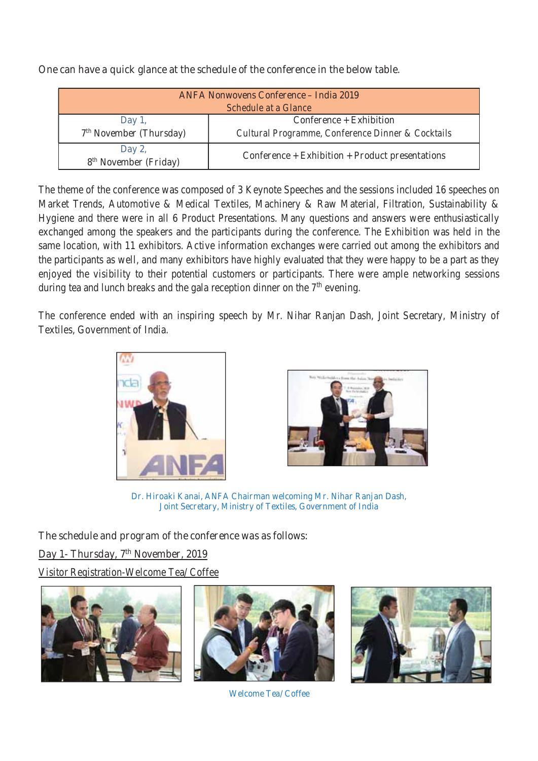| <b>ANFA Nonwovens Conference - India 2019</b><br><b>Schedule at a Glance</b> |                                                                                         |
|------------------------------------------------------------------------------|-----------------------------------------------------------------------------------------|
| Day 1,<br>7 <sup>th</sup> November (Thursday)                                | Conference + Exhibition<br><b>Cultural Programme, Conference Dinner &amp; Cocktails</b> |
| Day 2,<br>8 <sup>th</sup> November (Friday)                                  | Conference + Exhibition + Product presentations                                         |

One can have a quick glance at the schedule of the conference in the below table.

The theme of the conference was composed of 3 Keynote Speeches and the sessions included 16 speeches on Market Trends, Automotive & Medical Textiles, Machinery & Raw Material, Filtration, Sustainability & Hygiene and there were in all 6 Product Presentations. Many questions and answers were enthusiastically exchanged among the speakers and the participants during the conference. The Exhibition was held in the same location, with 11 exhibitors. Active information exchanges were carried out among the exhibitors and the participants as well, and many exhibitors have highly evaluated that they were happy to be a part as they enjoyed the visibility to their potential customers or participants. There were ample networking sessions during tea and lunch breaks and the gala reception dinner on the  $7<sup>th</sup>$  evening.

The conference ended with an inspiring speech by Mr. Nihar Ranjan Dash, Joint Secretary, Ministry of Textiles, Government of India.





Dr. Hiroaki Kanai, ANFA Chairman welcoming Mr. Nihar Ranjan Dash, Joint Secretary, Ministry of Textiles, Government of India

The schedule and program of the conference was as follows:

## Day 1- Thursday, 7<sup>th</sup> November, 2019

Visitor Registration-Welcome Tea/ Coffee





Welcome Tea/ Coffee

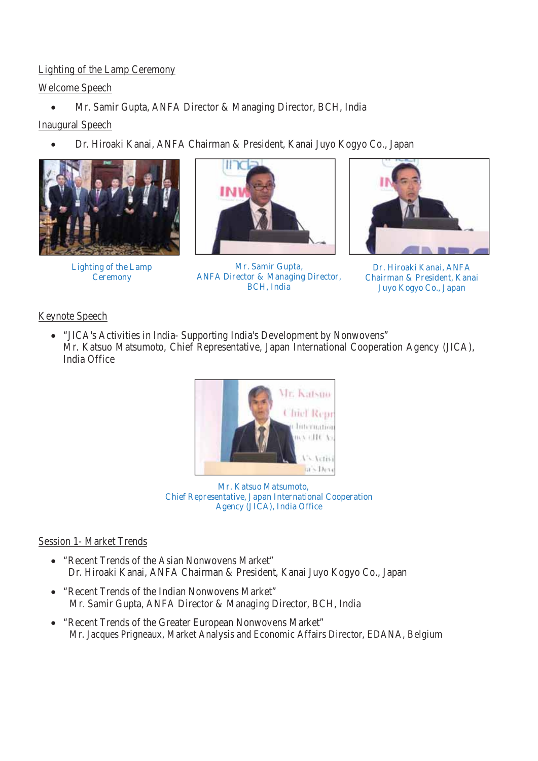## Lighting of the Lamp Ceremony

## Welcome Speech

x Mr. Samir Gupta, ANFA Director & Managing Director, BCH, India

## Inaugural Speech

Dr. Hiroaki Kanai, ANFA Chairman & President, Kanai Juyo Kogyo Co., Japan



Lighting of the Lamp **Ceremony** 



Mr. Samir Gupta, ANFA Director & Managing Director, BCH, India



Dr. Hiroaki Kanai, ANFA Chairman & President, Kanai Juyo Kogyo Co., Japan

## Keynote Speech

• "JICA's Activities in India- Supporting India's Development by Nonwovens" Mr. Katsuo Matsumoto, Chief Representative, Japan International Cooperation Agency (JICA), India Office



 Mr. Katsuo Matsumoto, Chief Representative, Japan International Cooperation Agency (JICA), India Office

## Session 1- Market Trends

- "Recent Trends of the Asian Nonwovens Market" Dr. Hiroaki Kanai, ANFA Chairman & President, Kanai Juyo Kogyo Co., Japan
- "Recent Trends of the Indian Nonwovens Market" Mr. Samir Gupta, ANFA Director & Managing Director, BCH, India
- "Recent Trends of the Greater European Nonwovens Market" Mr. Jacques Prigneaux, Market Analysis and Economic Affairs Director, EDANA, Belgium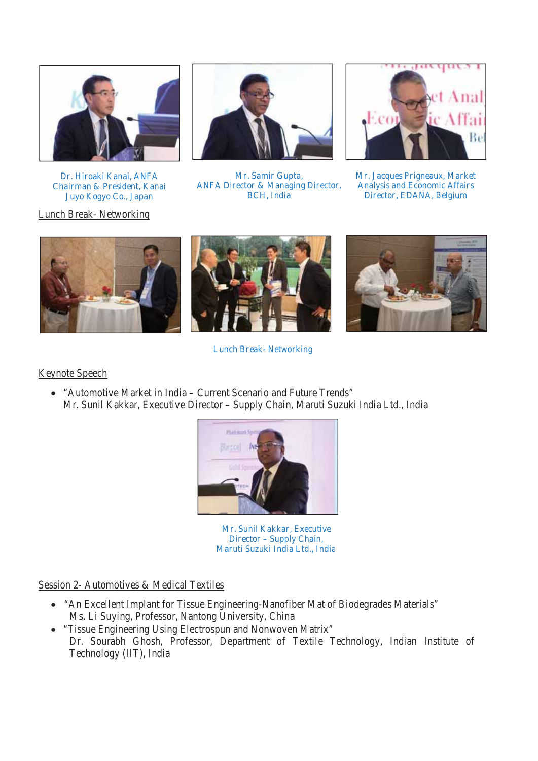

Dr. Hiroaki Kanai, ANFA Chairman & President, Kanai Juyo Kogyo Co., Japan

Lunch Break- Networking



Mr. Samir Gupta, ANFA Director & Managing Director, BCH, India



Mr. Jacques Prigneaux, Market Analysis and Economic Affairs Director, EDANA, Belgium







Lunch Break- Networking

#### Keynote Speech

• "Automotive Market in India – Current Scenario and Future Trends" Mr. Sunil Kakkar, Executive Director – Supply Chain, Maruti Suzuki India Ltd., India



Mr. Sunil Kakkar, Executive Director – Supply Chain, Maruti Suzuki India Ltd., India

Session 2- Automotives & Medical Textiles

- "An Excellent Implant for Tissue Engineering-Nanofiber Mat of Biodegrades Materials" Ms. Li Suying, Professor, Nantong University, China
- "Tissue Engineering Using Electrospun and Nonwoven Matrix" Dr. Sourabh Ghosh, Professor, Department of Textile Technology, Indian Institute of Technology (IIT), India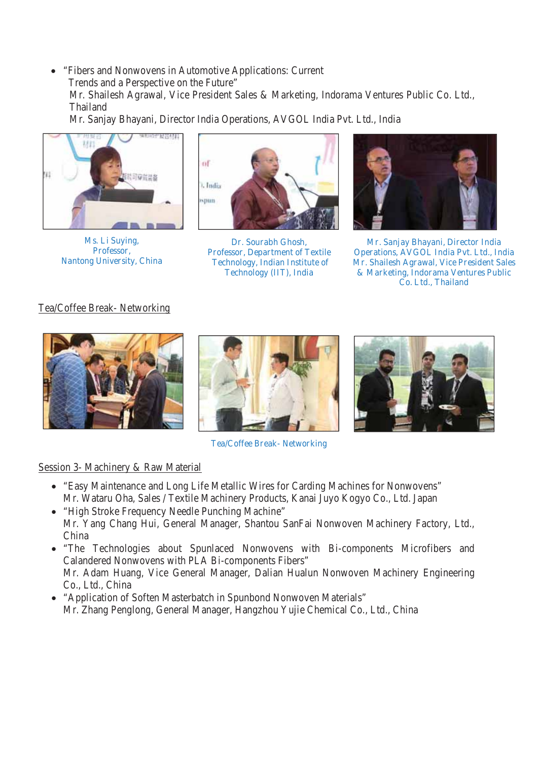• "Fibers and Nonwovens in Automotive Applications: Current Trends and a Perspective on the Future" Mr. Shailesh Agrawal, Vice President Sales & Marketing, Indorama Ventures Public Co. Ltd., **Thailand** 

Mr. Sanjay Bhayani, Director India Operations, AVGOL India Pvt. Ltd., India



Ms. Li Suying, Professor, Nantong University, China



Dr. Sourabh Ghosh, Professor, Department of Textile Technology, Indian Institute of Technology (IIT), India



Mr. Sanjay Bhayani, Director India Operations, AVGOL India Pvt. Ltd., India Mr. Shailesh Agrawal, Vice President Sales & Marketing, Indorama Ventures Public Co. Ltd., Thailand

#### Tea/Coffee Break- Networking



Tea/Coffee Break- Networking

#### Session 3- Machinery & Raw Material

- "Easy Maintenance and Long Life Metallic Wires for Carding Machines for Nonwovens" Mr. Wataru Oha, Sales / Textile Machinery Products, Kanai Juyo Kogyo Co., Ltd. Japan
- "High Stroke Frequency Needle Punching Machine" Mr. Yang Chang Hui, General Manager, Shantou SanFai Nonwoven Machinery Factory, Ltd., China
- "The Technologies about Spunlaced Nonwovens with Bi-components Microfibers and Calandered Nonwovens with PLA Bi-components Fibers" Mr. Adam Huang, Vice General Manager, Dalian Hualun Nonwoven Machinery Engineering Co., Ltd., China
- "Application of Soften Masterbatch in Spunbond Nonwoven Materials" Mr. Zhang Penglong, General Manager, Hangzhou Yujie Chemical Co., Ltd., China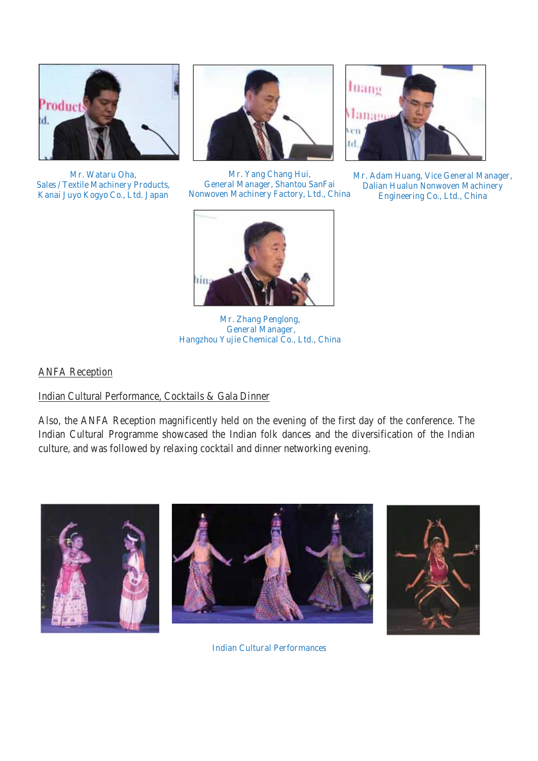

Mr. Wataru Oha, Sales / Textile Machinery Products, Kanai Juyo Kogyo Co., Ltd. Japan



Mr. Yang Chang Hui, General Manager, Shantou SanFai Nonwoven Machinery Factory, Ltd., China



Mr. Adam Huang, Vice General Manager, Dalian Hualun Nonwoven Machinery Engineering Co., Ltd., China



Mr. Zhang Penglong, General Manager, Hangzhou Yujie Chemical Co., Ltd., China

## ANFA Reception

#### Indian Cultural Performance, Cocktails & Gala Dinner

Also, the ANFA Reception magnificently held on the evening of the first day of the conference. The Indian Cultural Programme showcased the Indian folk dances and the diversification of the Indian culture, and was followed by relaxing cocktail and dinner networking evening.



Indian Cultural Performances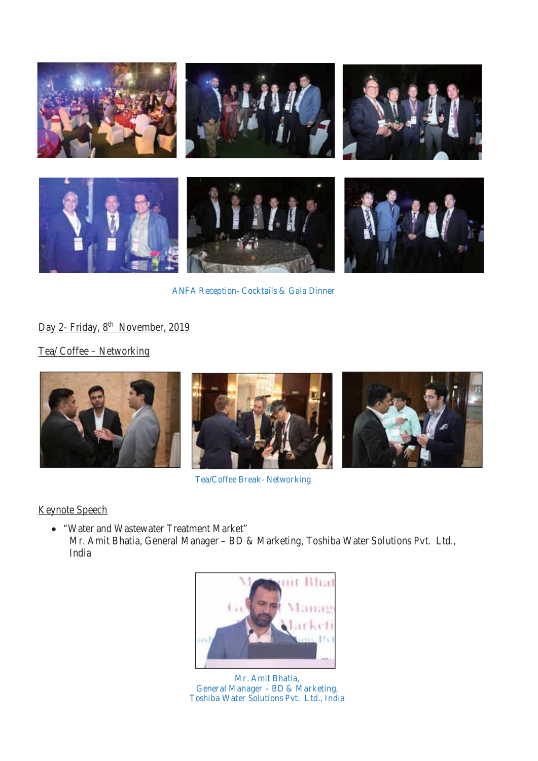

ANFA Reception- Cocktails & Gala Dinner

Day 2- Friday, 8<sup>th</sup> November, 2019

Tea/ Coffee – Networking



Tea/Coffee Break- Networking

Keynote Speech

x "Water and Wastewater Treatment Market" Mr. Amit Bhatia, General Manager – BD & Marketing, Toshiba Water Solutions Pvt. Ltd., India



Mr. Amit Bhatia, General Manager – BD & Marketing, Toshiba Water Solutions Pvt. Ltd., India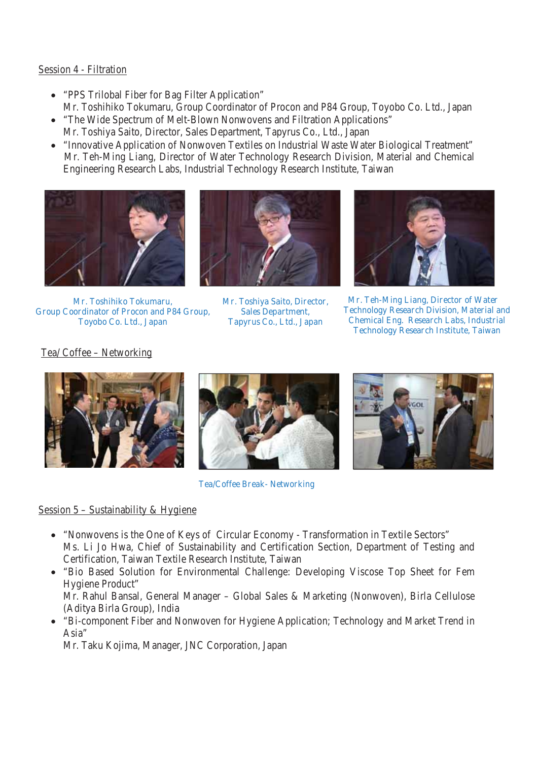#### Session 4 - Filtration

- "PPS Trilobal Fiber for Bag Filter Application" Mr. Toshihiko Tokumaru, Group Coordinator of Procon and P84 Group, Toyobo Co. Ltd., Japan
- "The Wide Spectrum of Melt-Blown Nonwovens and Filtration Applications" Mr. Toshiya Saito, Director, Sales Department, Tapyrus Co., Ltd., Japan
- "Innovative Application of Nonwoven Textiles on Industrial Waste Water Biological Treatment" Mr. Teh-Ming Liang, Director of Water Technology Research Division, Material and Chemical Engineering Research Labs, Industrial Technology Research Institute, Taiwan



Mr. Toshihiko Tokumaru, Group Coordinator of Procon and P84 Group, Toyobo Co. Ltd., Japan



Mr. Toshiya Saito, Director, Sales Department, Tapyrus Co., Ltd., Japan



Mr. Teh-Ming Liang, Director of Water Technology Research Division, Material and Chemical Eng. Research Labs, Industrial Technology Research Institute, Taiwan

Tea/ Coffee – Networking





Tea/Coffee Break- Networking

## Session 5 - Sustainability & Hygiene

- "Nonwovens is the One of Keys of Circular Economy Transformation in Textile Sectors" Ms. Li Jo Hwa, Chief of Sustainability and Certification Section, Department of Testing and Certification, Taiwan Textile Research Institute, Taiwan
- "Bio Based Solution for Environmental Challenge: Developing Viscose Top Sheet for Fem Hygiene Product"

Mr. Rahul Bansal, General Manager – Global Sales & Marketing (Nonwoven), Birla Cellulose (Aditya Birla Group), India

• "Bi-component Fiber and Nonwoven for Hygiene Application; Technology and Market Trend in Asia"

Mr. Taku Kojima, Manager, JNC Corporation, Japan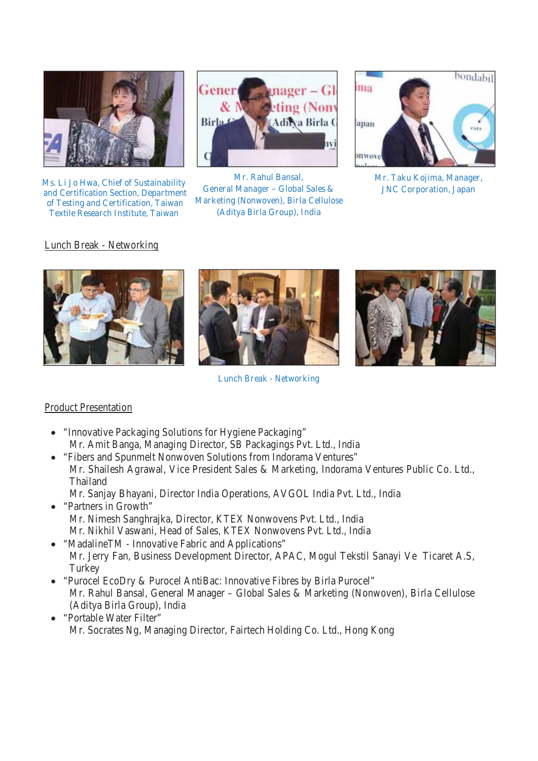

Ms. Li Jo Hwa, Chief of Sustainability and Certification Section, Department of Testing and Certification, Taiwan Textile Research Institute, Taiwan



Mr. Rahul Bansal, General Manager – Global Sales & Marketing (Nonwoven), Birla Cellulose (Aditya Birla Group), India



Mr. Taku Kojima, Manager, JNC Corporation, Japan

#### Lunch Break - Networking





Lunch Break - Networking



#### Product Presentation

- "Innovative Packaging Solutions for Hygiene Packaging" Mr. Amit Banga, Managing Director, SB Packagings Pvt. Ltd., India
- "Fibers and Spunmelt Nonwoven Solutions from Indorama Ventures" Mr. Shailesh Agrawal, Vice President Sales & Marketing, Indorama Ventures Public Co. Ltd., Thailand
- Mr. Sanjay Bhayani, Director India Operations, AVGOL India Pvt. Ltd., India • "Partners in Growth"
- Mr. Nimesh Sanghrajka, Director, KTEX Nonwovens Pvt. Ltd., India Mr. Nikhil Vaswani, Head of Sales, KTEX Nonwovens Pvt. Ltd., India
- "MadalineTM Innovative Fabric and Applications" Mr. Jerry Fan, Business Development Director, APAC, Mogul Tekstil Sanayi Ve Ticaret A.S, **Turkey**
- x "Purocel EcoDry & Purocel AntiBac: Innovative Fibres by Birla Purocel" Mr. Rahul Bansal, General Manager – Global Sales & Marketing (Nonwoven), Birla Cellulose (Aditya Birla Group), India
- "Portable Water Filter" Mr. Socrates Ng, Managing Director, Fairtech Holding Co. Ltd., Hong Kong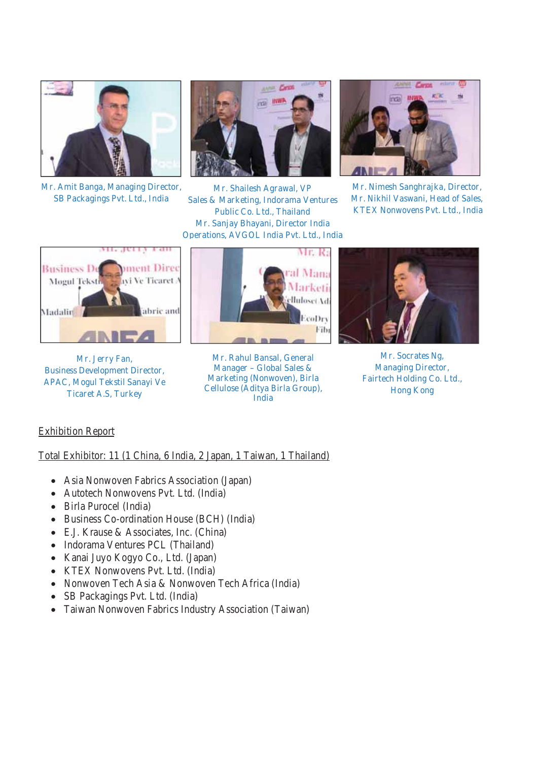

Mr. Amit Banga, Managing Director, SB Packagings Pvt. Ltd., India



Mr. Shailesh Agrawal, VP Sales & Marketing, Indorama Ventures Public Co. Ltd., Thailand Mr. Sanjay Bhayani, Director India Operations, AVGOL India Pvt. Ltd., India



Mr. Nimesh Sanghrajka, Director, Mr. Nikhil Vaswani, Head of Sales, KTEX Nonwovens Pvt. Ltd., India



Mr. Jerry Fan, Business Development Director, APAC, Mogul Tekstil Sanayi Ve Ticaret A.S, Turkey



Mr. Rahul Bansal, General Manager – Global Sales & Marketing (Nonwoven), Birla Cellulose (Aditya Birla Group), India



Mr. Socrates Ng, Managing Director, Fairtech Holding Co. Ltd., Hong Kong

#### Exhibition Report

Total Exhibitor: 11 (1 China, 6 India, 2 Japan, 1 Taiwan, 1 Thailand)

- Asia Nonwoven Fabrics Association (Japan)
- Autotech Nonwovens Pvt. Ltd. (India)
- Birla Purocel (India)
- Business Co-ordination House (BCH) (India)
- x E.J. Krause & Associates, Inc. (China)
- Indorama Ventures PCL (Thailand)
- Kanai Juyo Kogyo Co., Ltd. (Japan)
- KTEX Nonwovens Pvt. Ltd. (India)
- Nonwoven Tech Asia & Nonwoven Tech Africa (India)
- SB Packagings Pvt. Ltd. (India)
- Taiwan Nonwoven Fabrics Industry Association (Taiwan)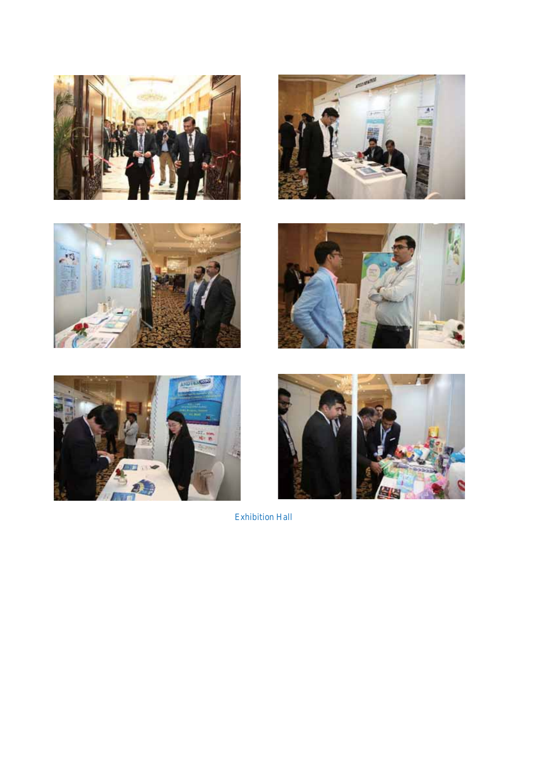











Exhibition Hall